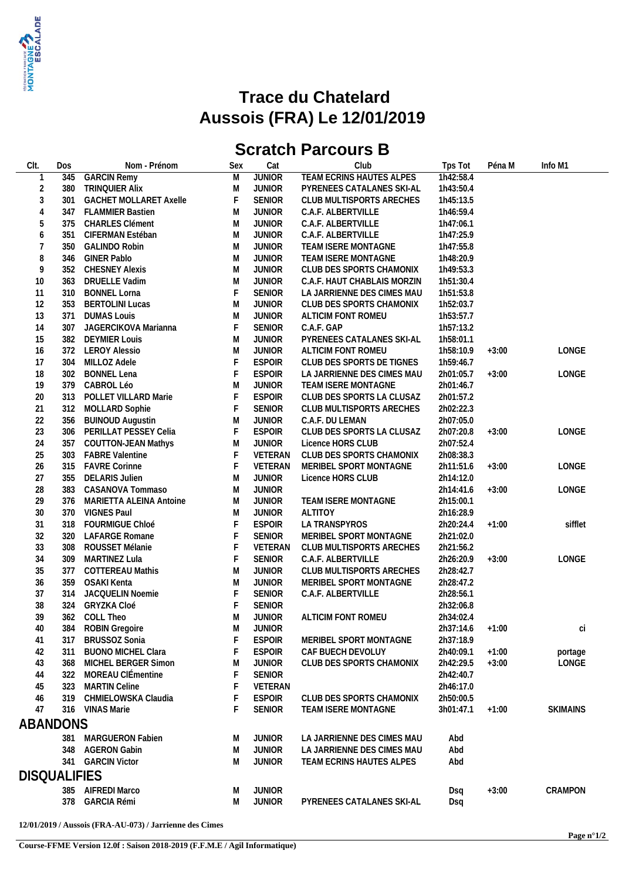

## **Trace du Chatelard Aussois (FRA) Le 12/01/2019**

## **Scratch Parcours B**

| CIt.                | Dos | Nom - Prénom                  | Sex | Cat           | Club                        | Tps Tot         | Péna M  | Info M1         |
|---------------------|-----|-------------------------------|-----|---------------|-----------------------------|-----------------|---------|-----------------|
| $\mathbf{1}$        | 345 | <b>GARCIN Remy</b>            | M   | <b>JUNIOR</b> | TEAM ECRINS HAUTES ALPES    | 1h42:58.4       |         |                 |
| $\sqrt{2}$          | 380 | <b>TRINQUIER Alix</b>         | M   | <b>JUNIOR</b> | PYRENEES CATALANES SKI-AL   | 1h43:50.4       |         |                 |
| $\sqrt{3}$          | 301 | <b>GACHET MOLLARET Axelle</b> | F   | <b>SENIOR</b> | CLUB MULTISPORTS ARECHES    | 1h45:13.5       |         |                 |
| $\overline{4}$      |     | 347 FLAMMIER Bastien          | M   | <b>JUNIOR</b> | C.A.F. ALBERTVILLE          | 1h46:59.4       |         |                 |
| 5                   | 375 | <b>CHARLES Clément</b>        | M   | <b>JUNIOR</b> | C.A.F. ALBERTVILLE          | 1h47:06.1       |         |                 |
| 6                   | 351 | CIFERMAN Estéban              | M   | <b>JUNIOR</b> | C.A.F. ALBERTVILLE          | 1h47:25.9       |         |                 |
| $\overline{7}$      | 350 | <b>GALINDO Robin</b>          | M   | <b>JUNIOR</b> | TEAM ISERE MONTAGNE         | 1h47:55.8       |         |                 |
| 8                   |     | 346 GINER Pablo               | M   | <b>JUNIOR</b> | TEAM ISERE MONTAGNE         | 1h48:20.9       |         |                 |
| 9                   | 352 | <b>CHESNEY Alexis</b>         | M   | <b>JUNIOR</b> | CLUB DES SPORTS CHAMONIX    | 1h49:53.3       |         |                 |
| 10                  | 363 | DRUELLE Vadim                 | M   | <b>JUNIOR</b> | C.A.F. HAUT CHABLAIS MORZIN | 1h51:30.4       |         |                 |
| 11                  |     | 310 BONNEL Lorna              | F   | <b>SENIOR</b> | LA JARRIENNE DES CIMES MAU  | 1h51:53.8       |         |                 |
| 12                  |     | 353 BERTOLINI Lucas           | M   | <b>JUNIOR</b> | CLUB DES SPORTS CHAMONIX    | 1h52:03.7       |         |                 |
| 13                  | 371 | <b>DUMAS Louis</b>            | M   | <b>JUNIOR</b> | ALTICIM FONT ROMEU          | 1h53:57.7       |         |                 |
| 14                  | 307 | JAGERCIKOVA Marianna          | F   | <b>SENIOR</b> | C.A.F. GAP                  | 1h57:13.2       |         |                 |
| 15                  |     | 382 DEYMIER Louis             | M   | <b>JUNIOR</b> | PYRENEES CATALANES SKI-AL   | 1h58:01.1       |         |                 |
|                     |     |                               |     |               |                             |                 |         |                 |
| 16                  | 372 | <b>LEROY Alessio</b>          | M   | <b>JUNIOR</b> | ALTICIM FONT ROMEU          | 1h58:10.9       | $+3:00$ | LONGE           |
| 17                  |     | 304 MILLOZ Adele              | F   | <b>ESPOIR</b> | CLUB DES SPORTS DE TIGNES   | 1h59:46.7       |         |                 |
| 18                  |     | 302 BONNEL Lena               | F   | <b>ESPOIR</b> | LA JARRIENNE DES CIMES MAU  | 2h01:05.7       | $+3:00$ | LONGE           |
| 19                  |     | 379 CABROL Léo                | M   | <b>JUNIOR</b> | TEAM ISERE MONTAGNE         | 2h01:46.7       |         |                 |
| 20                  | 313 | POLLET VILLARD Marie          | F   | <b>ESPOIR</b> | CLUB DES SPORTS LA CLUSAZ   | 2h01:57.2       |         |                 |
| 21                  |     | 312 MOLLARD Sophie            | F   | <b>SENIOR</b> | CLUB MULTISPORTS ARECHES    | 2h02:22.3       |         |                 |
| 22                  | 356 | <b>BUINOUD Augustin</b>       | M   | <b>JUNIOR</b> | C.A.F. DU LEMAN             | 2h07:05.0       |         |                 |
| 23                  |     | 306 PERILLAT PESSEY Celia     | F   | <b>ESPOIR</b> | CLUB DES SPORTS LA CLUSAZ   | 2h07:20.8       | $+3:00$ | LONGE           |
| 24                  | 357 | <b>COUTTON-JEAN Mathys</b>    | M   | <b>JUNIOR</b> | Licence HORS CLUB           | 2h07:52.4       |         |                 |
| 25                  | 303 | <b>FABRE Valentine</b>        | F   | VETERAN       | CLUB DES SPORTS CHAMONIX    | 2h08:38.3       |         |                 |
| 26                  |     | 315 FAVRE Corinne             | F   | VETERAN       | MERIBEL SPORT MONTAGNE      | 2h11:51.6       | $+3:00$ | LONGE           |
| 27                  |     | 355 DELARIS Julien            | M   | <b>JUNIOR</b> | Licence HORS CLUB           | 2h14:12.0       |         |                 |
| 28                  | 383 | CASANOVA Tommaso              | M   | <b>JUNIOR</b> |                             | 2h14:41.6       | $+3:00$ | LONGE           |
| 29                  |     | 376 MARIETTA ALEINA Antoine   | M   | <b>JUNIOR</b> | TEAM ISERE MONTAGNE         | 2h15:00.1       |         |                 |
| 30                  |     | 370 VIGNES Paul               | M   | <b>JUNIOR</b> | ALTITOY                     | 2h16:28.9       |         |                 |
| 31                  |     | 318 FOURMIGUE Chloé           | F   | <b>ESPOIR</b> | LA TRANSPYROS               | 2h20:24.4       | $+1:00$ | sifflet         |
| 32                  |     | 320 LAFARGE Romane            | F   | <b>SENIOR</b> | MERIBEL SPORT MONTAGNE      | 2h21:02.0       |         |                 |
| 33                  | 308 | ROUSSET Mélanie               | F   | VETERAN       | CLUB MULTISPORTS ARECHES    | 2h21:56.2       |         |                 |
| 34                  | 309 | MARTINEZ Lula                 | F   | <b>SENIOR</b> | C.A.F. ALBERTVILLE          | 2h26:20.9       | $+3:00$ | LONGE           |
| 35                  | 377 | <b>COTTEREAU Mathis</b>       | M   | <b>JUNIOR</b> | CLUB MULTISPORTS ARECHES    | 2h28:42.7       |         |                 |
| 36                  | 359 | OSAKI Kenta                   | M   | <b>JUNIOR</b> | MERIBEL SPORT MONTAGNE      | 2h28:47.2       |         |                 |
| 37                  |     | 314 JACQUELIN Noemie          | F   | SENIOR        | C.A.F. ALBERTVILLE          | 2h28:56.1       |         |                 |
| 38                  |     | 324 GRYZKA Cloé               | F   | <b>SENIOR</b> |                             | 2h32:06.8       |         |                 |
| 39                  |     | 362 COLL Theo                 | M   | <b>JUNIOR</b> | ALTICIM FONT ROMEU          | 2h34:02.4       |         |                 |
| 40                  |     | 384 ROBIN Gregoire            | M   | <b>JUNIOR</b> |                             | 2h37:14.6 +1:00 |         | Сİ              |
| 41                  |     | 317 BRUSSOZ Sonia             |     | <b>ESPOIR</b> | MERIBEL SPORT MONTAGNE      | 2h37:18.9       |         |                 |
|                     |     | 311 BUONO MICHEL Clara        |     | <b>ESPOIR</b> | CAF BUECH DEVOLUY           | 2h40:09.1       |         |                 |
| 42                  |     |                               |     |               |                             |                 | $+1:00$ | portage         |
| 43                  |     | 368 MICHEL BERGER Simon       | M   | <b>JUNIOR</b> | CLUB DES SPORTS CHAMONIX    | 2h42:29.5       | $+3:00$ | LONGE           |
| 44                  |     | 322 MOREAU CIÉmentine         |     | <b>SENIOR</b> |                             | 2h42:40.7       |         |                 |
| 45                  |     | 323 MARTIN Celine             |     | VETERAN       |                             | 2h46:17.0       |         |                 |
| 46                  |     | 319 CHMIELOWSKA Claudia       |     | <b>ESPOIR</b> | CLUB DES SPORTS CHAMONIX    | 2h50:00.5       |         |                 |
| 47                  |     | 316 VINAS Marie               |     | <b>SENIOR</b> | TEAM ISERE MONTAGNE         | 3h01:47.1       | $+1:00$ | <b>SKIMAINS</b> |
| ABANDONS            |     |                               |     |               |                             |                 |         |                 |
|                     |     | 381 MARGUERON Fabien          | M   | JUNIOR        | LA JARRIENNE DES CIMES MAU  | Abd             |         |                 |
|                     |     | 348 AGERON Gabin              | M   | <b>JUNIOR</b> | LA JARRIENNE DES CIMES MAU  | Abd             |         |                 |
|                     |     | 341 GARCIN Victor             | M   | <b>JUNIOR</b> | TEAM ECRINS HAUTES ALPES    | Abd             |         |                 |
|                     |     |                               |     |               |                             |                 |         |                 |
| <b>DISQUALIFIES</b> |     |                               |     |               |                             |                 |         |                 |
|                     |     | 385 AIFREDI Marco             | M   | <b>JUNIOR</b> |                             | Dsq             | $+3:00$ | CRAMPON         |
|                     |     | 378 GARCIA Rémi               | M   | <b>JUNIOR</b> | PYRENEES CATALANES SKI-AL   | Dsq             |         |                 |
|                     |     |                               |     |               |                             |                 |         |                 |

**12/01/2019 / Aussois (FRA-AU-073) / Jarrienne des Cimes**